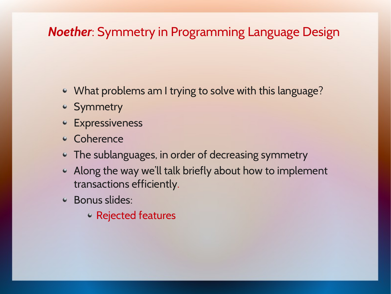#### *Noether*: Symmetry in Programming Language Design

- What problems am I trying to solve with this language?
- Symmetry
- **Expressiveness**
- Coherence
- The sublanguages, in order of decreasing symmetry
- Along the way we'll talk briefly about how to implement  $\bullet$ transactions efficiently.
- Bonus slides:
	- Rejected features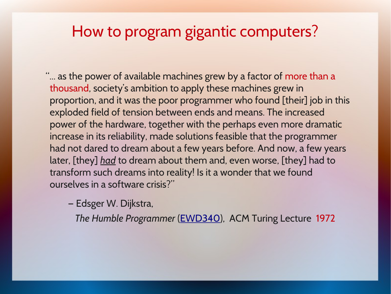#### How to program gigantic computers?

"... as the power of available machines grew by a factor of more than a thousand, society's ambition to apply these machines grew in proportion, and it was the poor programmer who found [their] job in this exploded field of tension between ends and means. The increased power of the hardware, together with the perhaps even more dramatic increase in its reliability, made solutions feasible that the programmer had not dared to dream about a few years before. And now, a few years later, [they] *had* to dream about them and, even worse, [they] had to transform such dreams into reality! Is it a wonder that we found ourselves in a software crisis?"

— Edsger W. Dijkstra,

*The Humble Programmer* [\(EWD340\)](http://www.cs.utexas.edu/~EWD/index03xx.html), ACM Turing Lecture 1972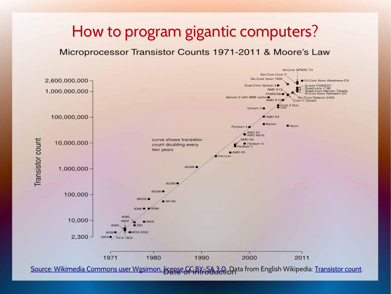#### How to program gigantic computers?

#### Microprocessor Transistor Counts 1971-2011 & Moore's Law



Source: Wikimedia Commons user Wgsimon, license GC BY-SA 3.0. Data from English Wikipedia: [Transistor count.](https://en.wikipedia.org/wiki/Transistor_count)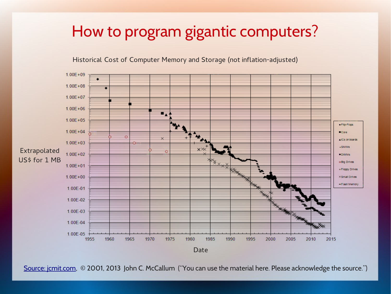#### How to program gigantic computers?

#### Historical Cost of Computer Memory and Storage (not inflation-adjusted)



[Source: jcmit.com,](http://jcmit.com/) © 2001, 2013 John C. McCallum ("You can use the material here. Please acknowledge the source.")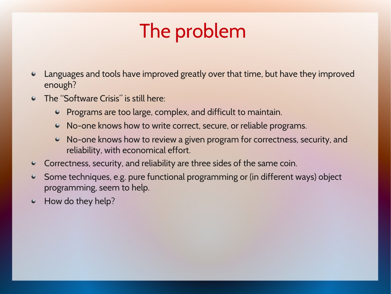# The problem

- Languages and tools have improved greatly over that time, but have they improved enough?
- The "Software Crisis" is still here:
	- Programs are too large, complex, and difficult to maintain.
	- No-one knows how to write correct, secure, or reliable programs.
	- No-one knows how to review a given program for correctness, security, and reliability, with economical effort.
- Correctness, security, and reliability are three sides of the same coin.  $\bullet$
- Some techniques, e.g. pure functional programming or (in different ways) object ۰ programming, seem to help.
- How do they help? $\bullet$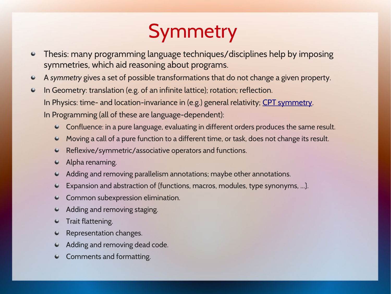# **Symmetry**

- Thesis: many programming language techniques/disciplines help by imposing  $\bullet$ symmetries, which aid reasoning about programs.
- A *symmetry* gives a set of possible transformations that do not change a given property.  $\bullet$
- In Geometry: translation (e.g. of an infinite lattice); rotation; reflection.  $\bullet$ In Physics: time- and location-invariance in (e.g.) general relativity; [CPT symmetry.](https://en.wikipedia.org/wiki/CPT_symmetry) In Programming (all of these are language-dependent):
	- Confluence: in a pure language, evaluating in different orders produces the same result.  $\bullet$
	- Moving a call of a pure function to a different time, or task, does not change its result.  $\bullet$
	- Reflexive/symmetric/associative operators and functions.  $\bullet$
	- Alpha renaming.  $\bullet$
	- Adding and removing parallelism annotations; maybe other annotations.  $\bullet$
	- Expansion and abstraction of {functions, macros, modules, type synonyms, ...}.  $\bullet$
	- Common subexpression elimination.  $\bullet$
	- Adding and removing staging.  $\bullet$
	- Trait flattening. ۰
	- Representation changes. ۰
	- Adding and removing dead code.  $\bullet$
	- Comments and formatting. $\bullet$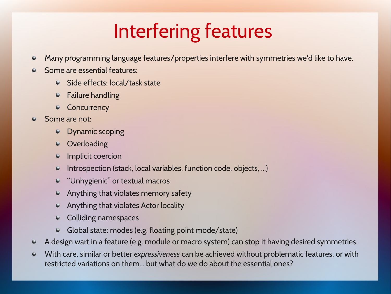# Interfering features

- Many programming language features/properties interfere with symmetries we'd like to have.  $\bullet$
- Some are essential features:
	- Side effects; local/task state
	- Failure handling  $\bullet$
	- Concurrency
- Some are not:
	- Dynamic scoping
	- **Overloading**  $\bullet$
	- Implicit coercion
	- Introspection (stack, local variables, function code, objects, ...)
	- "Unhygienic" or textual macros
	- Anything that violates memory safety
	- Anything that violates Actor locality
	- Colliding namespaces
	- Global state; modes (e.g. floating point mode/state)
- A design wart in a feature (e.g. module or macro system) can stop it having desired symmetries.  $\bullet$
- With care, similar or better *expressiveness* can be achieved without problematic features, or with  $\bullet$ restricted variations on them. but what do we do about the essential ones?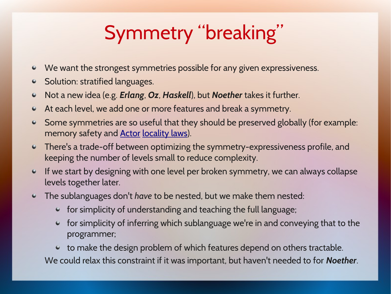# Symmetry "breaking"

- We want the strongest symmetries possible for any given expressiveness.
- Solution: stratified languages.  $\bullet$
- Not a new idea (e.g. *Erlang*, *Oz*, *Haskell*), but *Noether* takes it further.  $\bullet$
- At each level, we add one or more features and break a symmetry.  $\bullet$
- Some symmetries are so useful that they should be preserved globally (for example:  $\bullet$ memory safety and **Actor locality laws**).
- There's a trade-off between optimizing the symmetry-expressiveness profile, and  $\bullet$ keeping the number of levels small to reduce complexity.
- If we start by designing with one level per broken symmetry, we can always collapse  $\bullet$ levels together later.
- The sublanguages don't *have* to be nested, but we make them nested:  $\bullet$ 
	- for simplicity of understanding and teaching the full language;
	- for simplicity of inferring which sublanguage we're in and conveying that to the programmer;

to make the design problem of which features depend on others tractable. We could relax this constraint if it was important, but haven't needed to for *Noether*.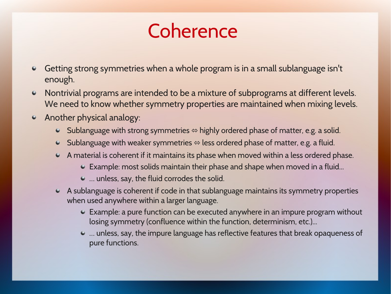## Coherence

- Getting strong symmetries when a whole program is in a small sublanguage isn't  $\bullet$ enough.
- Nontrivial programs are intended to be a mixture of subprograms at different levels.  $\bullet$ We need to know whether symmetry properties are maintained when mixing levels.
- Another physical analogy:  $\bullet$ 
	- $\bullet$  Sublanguage with strong symmetries  $\Leftrightarrow$  highly ordered phase of matter, e.g. a solid.
	- $\bullet$  Sublanguage with weaker symmetries  $\Leftrightarrow$  less ordered phase of matter, e.g. a fluid.
	- A material is coherent if it maintains its phase when moved within a less ordered phase.
		- Example: most solids maintain their phase and shape when moved in a fluid...
		- … unless, say, the fluid corrodes the solid.
	- A sublanguage is coherent if code in that sublanguage maintains its symmetry properties when used anywhere within a larger language.
		- Example: a pure function can be executed anywhere in an impure program without losing symmetry (confluence within the function, determinism, etc.)...
		- … unless, say, the impure language has reflective features that break opaqueness of pure functions.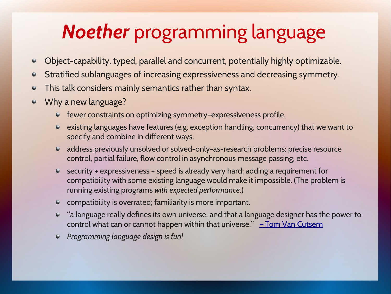# *Noether* programming language

- Object-capability, typed, parallel and concurrent, potentially highly optimizable.  $\bullet$
- Stratified sublanguages of increasing expressiveness and decreasing symmetry.  $\bullet$
- This talk considers mainly semantics rather than syntax.  $\bullet$
- Why a new language?
	- fewer constraints on optimizing symmetry–expressiveness profile.
	- existing languages have features (e.g. exception handling, concurrency) that we want to specify and combine in different ways.
	- address previously unsolved or solved-only-as-research problems: precise resource control, partial failure, flow control in asynchronous message passing, etc.
	- security + expressiveness + speed is already very hard; adding a requirement for compatibility with some existing language would make it impossible. (The problem is running existing programs *with expected performance*.)
	- compatibility is overrated; familiarity is more important.
	- "a language really defines its own universe, and that a language designer has the power to control what can or cannot happen within that universe."  $\overline{-}$  Tom Van Cutsem
	- *Programming language design is fun!*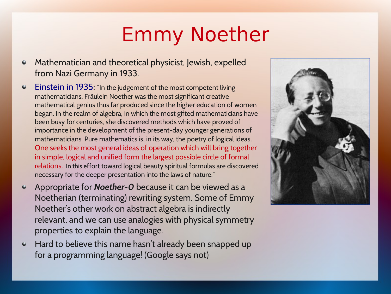# Emmy Noether

- Mathematician and theoretical physicist, Jewish, expelled 0 from Nazi Germany in 1933.
- Einstein in 1935: "In the judgement of the most competent living  $\ddot{\phantom{1}}$ mathematicians, Fräulein Noether was the most significant creative mathematical genius thus far produced since the higher education of women began. In the realm of algebra, in which the most gifted mathematicians have been busy for centuries, she discovered methods which have proved of importance in the development of the present-day younger generations of mathematicians. Pure mathematics is, in its way, the poetry of logical ideas. One seeks the most general ideas of operation which will bring together in simple, logical and unified form the largest possible circle of formal relations. In this effort toward logical beauty spiritual formulas are discovered necessary for the deeper presentation into the laws of nature."
- Appropriate for *Noether-0* because it can be viewed as a  $\bullet$ Noetherian (terminating) rewriting system. Some of Emmy Noether's other work on abstract algebra is indirectly relevant, and we can use analogies with physical symmetry properties to explain the language.
- Hard to believe this name hasn't already been snapped up  $\bullet$ for a programming language! (Google says not)

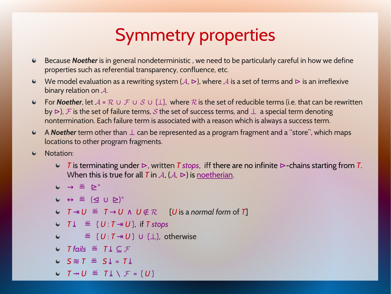## Symmetry properties

- Because *Noether* is in general nondeterministic , we need to be particularly careful in how we define  $\bullet$ properties such as referential transparency, confluence, etc.
- We model evaluation as a rewriting system  $(A, \triangleright)$ , where A is a set of terms and  $\triangleright$  is an irreflexive [binary relation o](http://www-history.mcs.st-andrews.ac.uk/Obits2/Noether_Emmy_Einstein.html)n  $A$ .
- For *Noether*, let  $A = \mathcal{R} \cup \mathcal{F} \cup \mathcal{S} \cup \{\perp\}$ , where  $\mathcal{R}$  is the set of reducible terms (i.e. that can be rewritten by  $\triangleright$ ),  $\digamma$  is the set of failure terms,  $S$  the set of success terms, and  $\bot$  a special term denoting nontermination. Each failure term is associated with a reason which is always a success term.
- A **Noether** term other than ⊥ can be represented as a program fragment and a "store", which maps  $\bullet$ locations to other program fragments.
- Notation:
	- *T* is terminating under ⊳, written *T stops*, iff there are no infinite ⊳*-*chains starting from *T*. When this is true for all *T* in  $\mathcal{A}$ ,  $(\mathcal{A}, \triangleright)$  is <u>noetherian</u>.
	- →≝⊵\*
	- ↔≝(⊴ ∪ ⊵)\*
	- $\bullet$  *T* → *U*  $\stackrel{\text{def}}{=}$  *T* → *U*  $\land$  *U*  $\notin \mathcal{R}$  [*U* is a *normal form* of *T*]
	- $\bullet$   $\mathcal{T}\perp$   $\stackrel{\text{def}}{=}$   $\{U: \mathcal{T}\rightarrow U\}$ , if *T stops*
	- $\bullet$   $\stackrel{\text{def}}{=}$   $\{U: T \rightarrow U\}$  ∪  $\{\perp\}$ , otherwise
	- $\circ$  *T* fails  $\stackrel{\text{def}}{=}$  *T* ↓ ⊂ *F*
	- *S* ≋ *T* ≝ *S⤓* = *T⤓*
	- $T \rightarrow U$   $\stackrel{\text{def}}{=} T \downarrow \setminus \mathcal{F} = \{ U \}$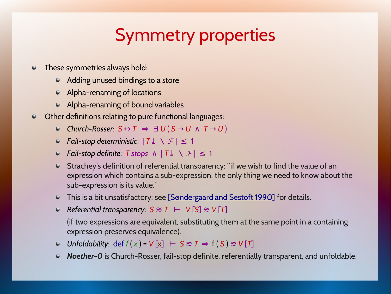## Symmetry properties

- These symmetries always hold:  $\bullet$ 
	- Adding unused bindings to a store
	- Alpha-renaming of locations
	- Alpha-renaming of bound variables
- Other definitions relating to pure functional languages:  $\bullet$ 
	- *Church-Rosser*: *S* ↔ *T* ⇒ ∃ *U* ( *S* → *U* ∧ *T* → *U* )
	- **•** Fail-stop deterministic:  $|T\perp \setminus F| \leq 1$
	- $\bullet$  *Fail-stop definite*: *T stops*  $\land$  | *T*  $\downarrow$   $\land$  *F* | ≤ 1
	- Strachey's definition of referential transparency: "if we wish to find the value of an expression which contains a sub-expre[ssion, the on](https://en.wikipedia.org/wiki/Noetherian)ly thing we need to know about the sub-expression is its value."
	- This is a bit unsatisfactory; see [Søndergaard and Sestoft 1990] for details.
	- $\bullet$  Referential transparency:  $S \approx T$  ⊢  $V[S] \approx V[T]$

(if two expressions are equivalent, substituting them at the same point in a containing expression preserves equivalence).

- *Unfoldability*: def  $f(x) = V[x]$   $\vdash S \approx T \Rightarrow f(S) \approx V[T]$  $\bullet$
- *Noether-0* is Church-Rosser, fail-stop definite, referentially transparent, and unfoldable.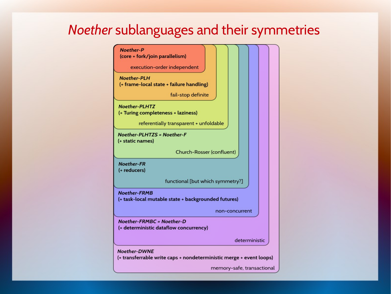#### *Noether* sublanguages and their symmetries

Noether-P

(core + fork/join parallelism)

execution-order independent

**Noether-PLH** (+ frame-local state + failure handling)

fail-stop definite

**Noether-PLHTZ** (+ Turing completeness + laziness)

referentially transparent + unfoldable

Noether-PLHTZS = Noether-F (+ static names)

Church-Rosser (confluent)

Noether-FR (+ reducers)

functional [but which symmetry?]

**Noether-FRMB** (+ task-local mutable state + backgrounded futures)

non-concurrent

Noether-FRMBC = Noether-D (+ deterministic dataflow concurrency)

deterministic

**Noether-DWNE** 

(+ transferrable write caps + nondeterministic merge + event loops)

memory-safe, transactional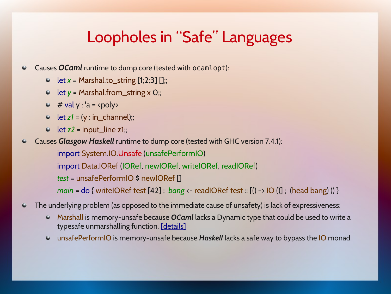#### Loopholes in "Safe" Languages

- Causes *OCaml* runtime to dump core (tested with ocamlopt):  $\bullet$ 
	- let  $x =$  Marshal.to\_string  $[1,2,3]$   $[]$ ;;
	- let *y* = Marshal.from\_string x 0;;
	- $\bullet$  # val y : 'a = <poly>
	- $\bullet$  let  $z1 = (y : in_{\text{channel}});$
	- $\bullet$  let  $z2$  = input\_line  $z1$ ;;
- Causes *Glasgow Haskell* runtime to dump core (tested with GHC version 7.4.1):  $\bullet$ 
	- import System.IO.Unsafe (unsafePerformIO)
	- import Data.IORef (IORef, newIORef, writeIORef, readIORef)
	- *test* = unsafePerformIO \$ newIORef []

*main* = do { writeIORef test [42] ; *bang* <- readIORef test :: [() -> IO ()] ; (head bang) () }

- The underlying problem (as opposed to the immediate cause of unsafety) is lack of expressiveness:  $\bullet$ 
	- Marshall is memory-unsafe because *OCaml* lacks a Dynamic type that could be used to write a  $\bullet$ typesafe unmarshalling function. [details]
	- unsafePerformIO is memory-unsafe because *Haskell* lacks a safe way to bypass the IO monad. $\bullet$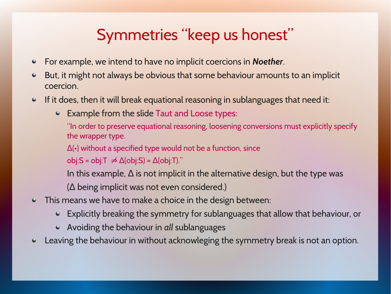#### Symmetries "keep us honest"

- For example, we intend to have no implicit coercions in *Noether*.  $\bullet$
- But, it might not always be obvious that some behaviour amounts to an implicit coercion.
- If it does, then it will break equational reasoning in sublanguages that need it:
	- Example from the slide Taut and Loose types:

"In order to preserve equational reasoning, loosening conversions must explicitly specify the wrapper type.

 $\Delta$ ( $\cdot$ ) without a specified type would not be a function, since

 $obj:$ S = obj:T  $\neq$  Δ(obj:S) = Δ(obj:T)."

In this example,  $\Delta$  is not implicit in the alternative design, but the type was

 $(\Delta$  being implicit was not even considered.)

- This means we have to make a choice in the design between:  $\bullet$ 
	- Explicitly breaking the symmetry for sublanguages that allow that behaviour, or
	- Avoiding the behaviour in *all* sublanguages
- Leaving the behaviour in without acknowleging the symmetry break is not an option.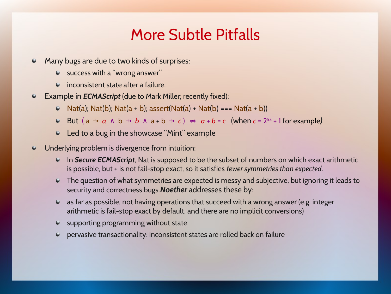#### More Subtle Pitfalls

- Many bugs are due to two kinds of surprises:  $\bullet$ 
	- success with a "wrong answer"
	- $\bullet$  inconsistent state after a failure.
- Example in *ECMAScript* (due to Mark Miller; recently fixed):  $\bullet$ 
	- $\bullet$  Nat(a); Nat(b); Nat(a + b); assert(Nat(a) + Nat(b) === Nat(a + b))
	- But (a  $\rightarrow$  *a*  $\land$  b  $\rightarrow$  *b*  $\land$  a + b  $\rightarrow$  *c*)  $\Rightarrow$  *a* + *b* = *c* (when *c* = 2<sup>53</sup> + 1 for example)
	- Led to a bug in the showcase "Mint" example
- Underlying problem is divergence from intuition:  $\bullet$ 
	- In *Secure ECMAScript*, Nat is supposed to be the subset of numbers on which exact arithmetic is possible, but + is not fail-stop exact, so it satisfies *fewer symmetries than expected*.
	- The question of what symmetries are expected is messy and subjective, but ignoring it leads to security and correctness bugs.*Noether* addresses these by:
	- as far as possible, not having operations that succeed with a wrong answer (e.g. integer arithmetic is fail-stop exact by default, and there are no implicit conversions)
	- $\bullet$  supporting programming without state
	- pervasive transactionality: inconsistent states are rolled back on failure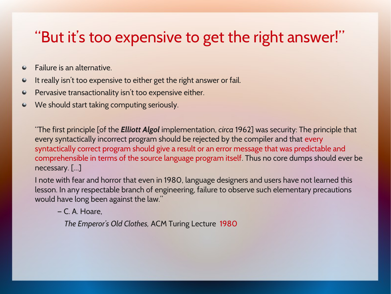#### "But it's too expensive to get the right answer!"

- Failure is an alternative.  $\bullet$
- It really isn't too expensive to either get the right answer or fail.  $\bullet$
- Pervasive transactionality isn't too expensive either.  $\bullet$
- We should start taking computing seriously.  $\bullet$

"The first principle [of the *Elliott Algol* implementation, *circa* 1962] was security: The principle that every syntactically incorrect program should be rejected by the compiler and that every syntactically correct program should give a result or an error message that was predictable and comprehensible in terms of the source language program itself. Thus no core dumps should ever be necessary. […]

I note with fear and horror that even in 1980, language designers and users have not learned this lesson. In any respectable branch of engineering, failure to observe such elementary precautions would have long been against the law."

— C. A. Hoare,

 *The Emperor's Old Clothes,* ACM Turing Lecture 1980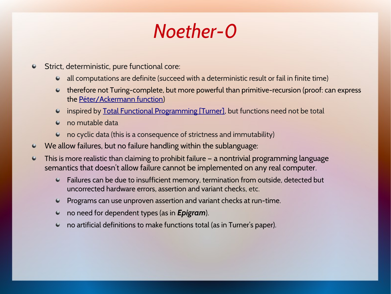## *Noether-0*

- Strict, deterministic, pure functional core:  $\bullet$ 
	- all computations are definite (succeed with a deterministic result or fail in finite time)
	- therefore not Turing-complete, but more powerful than primitive-recursion (proof: can express the Péter/Ackermann function)
	- inspired by Total Functional Programming [Turner], but functions need not be total  $\bullet$
	- no mutable data
	- no cyclic data (this is a consequence of strictness and immutability)  $\bullet$
- We allow failures, but no failure handling within the sublanguage:
- This is more realistic than claiming to prohibit failure a nontrivial programming language  $\bullet$ semantics that doesn't allow failure cannot be implemented on any real computer.
	- Failures can be due to insufficient memory, termination from outside, detected but uncorrected hardware errors, assertion and variant checks, etc.
	- Programs can use unproven assertion and variant checks at run-time.
	- no need for dependent types (as in *Epigram*).
	- no artificial definitions to make functions total (as in Turner's paper).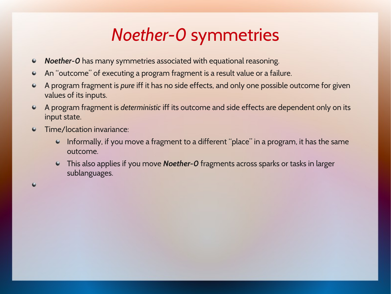## *Noether-0* symmetries

- *Noether-0* has many symmetries associated with equational reasoning.  $\bullet$
- An "outcome" of executing a program fragment is a result value or a failure.  $\bullet$
- A program fragment is *pure* iff it has no side effects, and only one possible outcome for given  $\bullet$ values of its inputs.
- A program fragment is *deterministic* iff its outcome and side effects are dependent only on its  $\bullet$ input state.
- Time/location invariance:  $\bullet$

 $\bullet$ 

- $\bullet$ Informally, if you move a fragment to a different "place" in a program, it has the same outcome.
- This also applies if you move *Noether-0* fragments across sparks or tasks in larger sublanguages.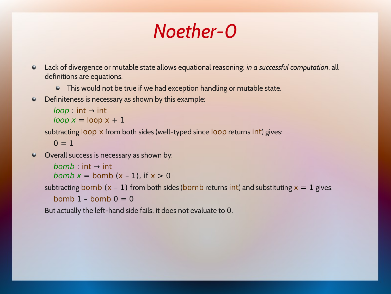## *Noether-0*

- Lack of divergence or mutable state allows equational reasoning: *in a successful computation*, all  $\bullet$ definitions are equations.
	- This would not be true if we had exception handling or mutable state.
- Definiteness is necessary as shown by this example:  $\bullet$

```
loop: int \rightarrow intloop x = loop x + 1
```
subtracting loop x from both sides (well-typed since loop returns int) gives:

 $0 = 1$ 

Overall success is necessary as shown by:

```
bomb : int \rightarrow intbomb x = bomb (x - 1), if x > 0
```

```
subtracting bomb (x - 1) from both sides (bomb returns int) and substituting x = 1 gives:
bomb 1 – bomb 0 = 0
```
But actually the left-hand side fails, it does not evaluate to 0.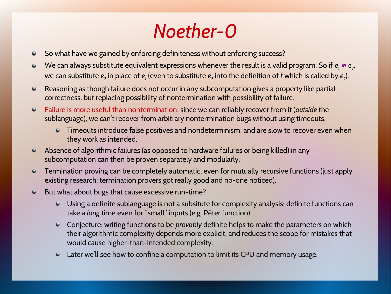# *Noether-0*

- So what have we gained by enforcing definiteness without enforcing success?  $\bullet$
- We can always substitute equivalent expressions whenever the result is a valid program. So if  $e_{\scriptscriptstyle 1}\approx e_{\scriptscriptstyle 2}$ ,  $\bullet$ we can substitute  $\bm{e}_2$  in place of  $\bm{e}_1$  (even to substitute  $\bm{e}_2$  into the definition of  $f$  which is called by  $\bm{e}_2$ ).
- Reasoning as though failure does not occur in any subcomputation gives a property like partial  $\bullet$ correctness, but replacing possibility of nontermination with possibility of failure.
- Failure is more useful than nontermination, since we can reliably recover from it (*outside* the  $\bullet$ sublanguage); we can't recover from arbitrary nontermination bugs without using timeouts.
	- Timeouts introduce false positives and nondeterminism, and are slow to recover even when they work as intended.
- Absence of algorithmic failures (as opposed to hardware failures or being killed) in any  $\bullet$ subcomputation can then be proven separately and modularly.
- Termination proving can be completely automatic, even for mutually recursive functions (just apply  $\bullet$ existing research; termination provers got really good and no-one noticed).
- But what about bugs that cause excessive run-time?  $\bullet$ 
	- Using a definite sublanguage is not a subsitute for complexity analysis; definite functions can take a *long* time even for "small" inputs (e.g. Péter function).
	- Conjecture: writing functions to be *provably* definite helps to make the parameters on which  $\bullet$ their algorithmic complexity depends more explicit, and reduces the scope for mistakes that would cause higher-than-intended complexity.
	- Later we'll see how to confine a computation to limit its CPU and memory usage.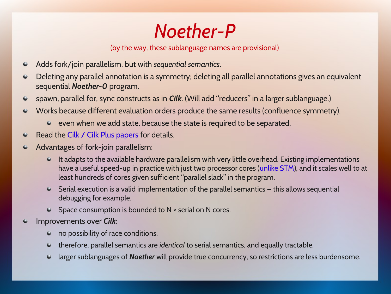*Noether-P*

(by the way, these sublanguage names are provisional)

- Adds fork/join parallelism, but with *sequential semantics*.  $\bullet$
- Deleting any parallel annotation is a symmetry; deleting all parallel annotations gives an equivalent  $\bullet$ sequential *Noether-0* program.
- spawn, parallel for, sync constructs as in *Cilk*. (Will add "reducers" in a larger sublanguage.)  $\bullet$
- Works because different evaluation orders produce the same results (confluence symmetry).  $\bullet$ 
	- $\bullet$  even when we add state, because the state is required to be separated.
- Read the Cilk / Cilk Plus papers for details.  $\bullet$
- Advantages of fork-join parallelism:  $\bullet$ 
	- $\bullet$  It adapts to the available hardware parallelism with very little overhead. Existing implementations have a useful speed-up in practice with just two processor cores (unlike STM), and it scales well to at least hundreds of cores given sufficient "parallel slack" in the program.
	- $\bullet$  Serial execution is a valid implementation of the parallel semantics  $-$  this allows sequential debugging for example.
	- $\bullet$  Space consumption is bounded to N  $\times$  serial on N cores.
- Improvements over *Cilk*:
	- no possibility of race conditions.
	- therefore, parallel semantics are *identical* to serial semantics, and equally tractable.
	- larger sublanguages of *Noether* will provide true concurrency, so restrictions are less burdensome.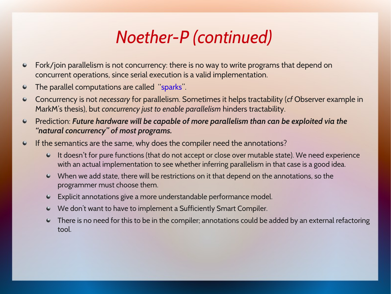#### *Noether-P (continued)*

- Fork/join parallelism is not concurrency: there is no way to write programs that depend on  $\bullet$ concurrent operations, since serial execution is a valid implementation.
- The parallel computations are called "sparks".  $\bullet$
- Concurrency is not *necessary* for parallelism. Sometimes it helps tractability (*cf* Observer example in  $\bullet$ MarkM's thesis), but *concurrency just to enable parallelism* hinders tractability.
- Prediction: *Future hardware will be capable of more parallelism than can be exploited via the*   $\bullet$ *"natural concurrency" of most programs.*
- If the semantics are the same, why does the compiler need the annotations?  $\bullet$ 
	- It doesn't for pure functions (that do not accept or close over mutable state). We need experience with an actual implementation to see whether inferring parallelism in that case is a good idea.
	- When we add state, there will be restrictions on it that depend on the annotations, so the programmer must choose them.
	- Explicit annotations give a more understandable performance model.
	- We don't want to have to implement a Sufficiently Smart Compiler.
	- There is no need for this to be in the compiler; annotations could be added by an external refactoring tool.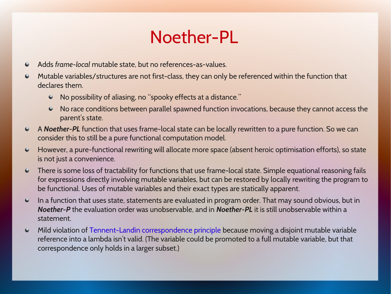#### Noether-PL

- Adds *frame-local* mutable state, but no references-as-values.  $\bullet$
- Mutable variables/structures are not first-class, they can only be referenced within the function that ۰ declares them.
	- No p[ossibility of aliasing, no "spoo](https://en.wikipedia.org/wiki/P%C3%A9ter_function)ky effects at a distance."
	- No race cond[itions between parallel spawned function](http://www.jucs.org/jucs_10_7/total_functional_programming) invocations, because they cannot access the parent's state.
- A *Noether-PL* function that uses frame-local state can be locally rewritten to a pure function. So we can consider this to still be a pure functional computation model.
- However, a pure-functional rewriting will allocate more space (absent heroic optimisation efforts), so state  $\bullet$ is not just a convenience.
- There is some loss of tractability for functions that use frame-local state. Simple equational reasoning fails  $\bullet$ for expressions directly involving mutable variables, but can be restored by locally rewriting the program to be functional. Uses of mutable variables and their exact types are statically apparent.
- $\bullet$ In a function that uses state, statements are evaluated in program order. That may sound obvious, but in *Noether-P* the evaluation order was unobservable, and in *Noether-PL* it is still unobservable within a statement.
- Mild violation of Tennent-Landin correspondence principle because moving a disjoint mutable variable  $\bullet$ reference into a lambda isn't valid. (The variable could be promoted to a full mutable variable, but that correspondence only holds in a larger subset.)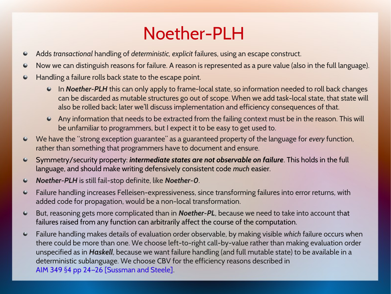#### Noether-PLH

- Adds *transactional* handling of *deterministic, explicit* failures, using an escape construct.  $\bullet$
- Now we can distinguish reasons for failure. A reason is represented as a pure value (also in the full language).  $\bullet$
- Handling a failure rolls back state to the escape point.  $\bullet$ 
	- In *Noether-PLH* this can only apply to frame-local state, so information needed to roll back changes can be discarded as mutable structures go out of scope. When we add task-local state, that state will also be rolled back; later we'll discuss implementation and efficiency consequences of that.
	- Any information that needs to be extracted from the failing context must be in the reason. This will be unfamiliar to programmers, but I expect it to be easy to get used to.
- We have the "strong exception guarantee" as a guaranteed property of the language for *every* function,  $\bullet$ rather than something that programmers have to document and ensure.
- Symmetry/security property: *intermediate states are not observable on failure*. This holds in the full  $\bullet$ language, and should make writing defensively consistent code *much* easier.
- *Noether-PLH* is still fail-stop definite, like *Noether-0*.  $\bullet$
- Failure handling increases Felleisen-expressiveness, since transforming failures into error returns, with  $\bullet$ added code for propagation, would be a non-local transformation.
- But, reasoning gets more complicated than in *Noether-PL*, because we need to take into account that  $\bullet$ failures raised from any function can arbitrarily affect the course of the computation.
- Failure handling makes details of evaluation order observable, by making visible *which* failure occurs when  $\bullet$ there could be more than one. We choose left-to-right call-by-value rather than making evaluation order unspecified as in *Haskell*, because we want failure handling (and full mutable state) to be available in a deterministic sublanguage. We choose CBV for the efficiency reasons described in AIM 349 §4 pp 24–26 [Sussman and Steele].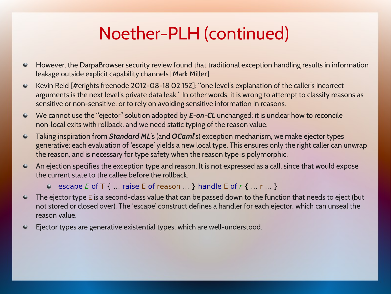## Noether-PLH (continued)

- However, the DarpaBrowser security review found that traditional exception handling results in information  $\bullet$ leakage outside explicit capability channels [Mark Miller].
- Kevin Reid [#erights freenode 2012-08-18 02:15Z]: "one level's explanation of the caller's incorrect  $\bullet$ arguments is the next level's private data leak." In other words, it is wrong to attempt to classify reasons as sensitive or non-sensitive, or to rely on avoiding sensitive information in reasons.
- We cannot use the "ejector" solution adopted by *E-on-CL* unchanged: it is unclear how to reconcile  $\bullet$ non-local exits with rollback, and we need static typing of the reason value.
- $\bullet$ Taking inspiration from *Standard ML*'s (and *OCaml*'s) exception mechanism, we make ejector types generative: each evaluation of 'escape' yields a new local type. This ensures only the right caller can unwrap the reason, and is necessary for type safety when the reason type is polymorphic.
- An ejection specifies the exception type and reason. It is not expressed as a call, since that would expose  $\bullet$ the current state to the callee before the rollback.
	- e escape E of T { ... raise E of reason  $\ldots$  } handle E of r {  $\ldots$  r  $\ldots$  }
- The ejector type E is a second-class value that can be passed down to the function that needs to eject (but  $\bullet$ not stored or closed over). The 'escape' construct defines a handler for each ejector, which can unseal the reason value.
- Ejector types are generative existential types, which are well-understood. $\bullet$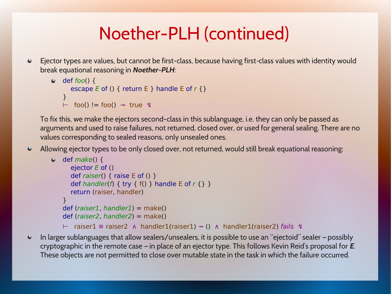## Noether-PLH (continued)

Ejector types are values, but cannot be first-class, because having first class values with identity would ‑ break equational reasoning in *Noether-PLH*:

```
\bullet def foo() {
     escape E of () { return E } handle E of r {}
  }
  \vdash foo() != foo() \rightarrow true 4
```
To fix this, we make the ejectors second-class in this sublanguage, i.e. they can only be passed as arguments and used to raise failures, not returned, closed over, or used for general sealing. There are no values corresponding to sealed reasons, only unsealed ones.

Allowing ejector types to be only closed over, not returned, would still break equational reasoning:  $\bullet$ 

```
\bullet def make() {
     ejector E of ()
    def raiser() { raise E of () }
    def handler(f) { try { f() } handle E of r { } }
     return (raiser, handler)
  \mathbf{r}def (raiser1, handler1) = make()
  def (raiser2, handler2) = make()
  ⊢   raiser1 ≋ raiser2 ∧ handler1(raiser1) ⤞ () ∧ handler1(raiser2) fails  ↯
```
In larger sublanguages that allow sealers/unsealers, it is possible to use an "ejectoid" sealer – possibly  $\bullet$ cryptographic in the remote case – in place of an ejector type. This follows Kevin Reid's proposal for *E*. These objects are not permitted to close over mutable state in the task in which the failure occurred.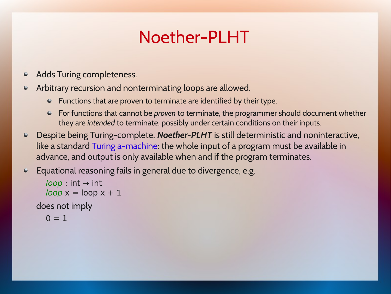## Noether-PLHT

- Adds Turing completeness.  $\bullet$
- Arbitrary recursion and nonterminating loops are allowed.  $\bullet$ 
	- Functions that are proven to terminate are identified by their type.
	- For functions that cannot be *proven* to terminate, the programmer should document whether they are *intended* to terminate, possibly under certain conditions on their inputs.
- Despite [being Turing-comp](http://supertech.csail.mit.edu/cilk/)lete, *Noether-PLHT* is still deterministic and noninteractive,  $\bullet$ like a standard Turing a-machine: the whole input of a program must be available in advance, and output is only available when and if the program terminates.
- Equational reasoning fails in general due to divergence, e.g.  $\bullet$

```
loop: int \rightarrow intloop x = loop x + 1
```
does not imply

```
0 = 1
```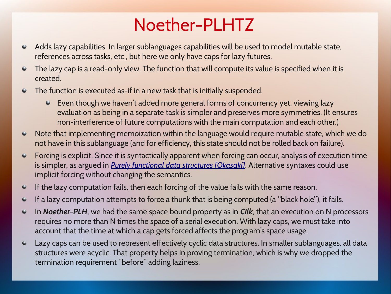## Noether-PLHTZ

- Adds lazy capabilities. In larger sublanguages capabilities will be used to model mutable state,  $\bullet$ references across tasks, etc., but here we only have caps for lazy futures.
- The lazy cap is a read-only view. The function that will compute its value is specified when it is  $\bullet$ created.
- The function is executed as-if in a ne[w task th](http://citeseerx.ist.psu.edu/viewdoc/summary?doi=10.1.1.53.946)at is initially suspended.  $\bullet$ 
	- Even though we haven't added more general forms of concurrency yet, viewing lazy evaluation as being in a separate task is simpler and preserves more symmetries. (It ensures non-interference of future computations with the main computation and each other.)
- Note that implementing memoization within the language would require mutable state, which we do  $\bullet$ not have in this sublanguage (and for efficiency, this state should not be rolled back on failure).
- Forcing is explicit. Since it is syntactically apparent when forcing can occur, analysis of execution time  $\bullet$ is simpler, as argued in *Purely functional data structures [Okasaki]*. Alternative syntaxes could use implicit forcing without changing the semantics.
- If the lazy computation fails, then each forcing of the value fails with the same reason.  $\bullet$
- If a lazy computation attempts to force a thunk that is being computed (a "black hole"), it fails.  $\bullet$
- In *Noether-PLH*, we had the same space bound property as in *Cilk*, that an execution on N processors  $\bullet$ requires no more than N times the space of a serial execution. With lazy caps, we must take into account that the time at which a cap gets forced affects the program's space usage.
- Lazy caps can be used to represent effectively cyclic data structures. In smaller sublanguages, all data  $\bullet$ structures were acyclic. That property helps in proving termination, which is why we dropped the termination requirement "before" adding laziness.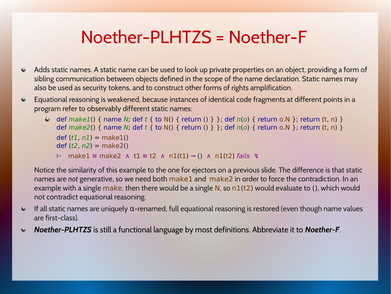#### Noether-PLHTZS = Noether-F

- $\bullet$ Adds static names. A static name can be used to look up private properties on an object, providing a form of sibling communication between objects defined in the scope of the name declaration. Static names may also be used as security tokens, and to construct other forms of rights amplification.
- Equational reasoning is weakened, because instances of identical code fragments at different points in a  $\bullet$ program refer to observably different static names:
	- $\bullet$  def make1() { name N; def t { to N() { return () } }; def n(o) { return o.N }; return (t, n) } def  $make2()$  { name N; def t { to N() { return () } }; def  $n(o)$  { return o.N }; return (t, n) }  $def (t1, n1) = make1()$ def  $(t2, n2) =$  make2()
		- ⊢ make1 ≋ make2 ∧ t1 ≋ t2 ∧ n1(t1) ⤞ () ∧ n1(t2) fails ↯

Notice the similarity of this example to the one for ejectors on a previous slide. The difference is that static names are *not* generative, so we need both make1 and make2 in order to force the contradiction. In an example with a single make, then there would be a single N, so  $n1(t2)$  would evaluate to (), which would not contradict equational reasoning.

- If all static names are uniquely  $\alpha$ -renamed, full equational reasoning is restored (even though name values  $\bullet$ are first-class).
- *Noether-PLHTZS* [is still a functional language by most de](http://www.springerlink.com/content/n43h438l03811671/)finitions. Abbreviate it to *Noether-F*. $\bullet$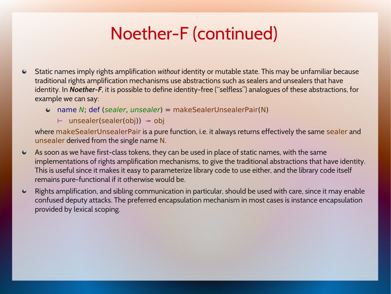## Noether-F (continued)

- Static names imply rights amplification *without* identity or mutable state. This may be unfamiliar because  $\bullet$ traditional rights amplification mechanisms use abstractions such as sealers and unsealers that have identity. In *Noether-F*, it is possible to define identity-free ("selfless") analogues of these abstractions, for example we can say:
	- $\bullet$  name N; def (sealer, unsealer) = makeSealerUnsealerPair(N)
		- ⊢ unsealer(sealer(obj)) ⤞ obj

where makeSealerUnsealerPair is a pure function, i.e. it always returns effectively the same sealer and unsealer derived from the single name N.

- As soon as we have first-class tokens, they can be used in place of static names, with the same  $\bullet$ implementations of rights amplification mechanisms, to give the traditional abstractions that have identity. This is useful since it makes it easy to parameterize library code to use either, and the library code itself remains pure-functional if it otherwise would be.
- $\bullet$ Rights amplification, and sibling communication in particular, should be used with care, since it may enable confused deputy attacks. The preferred encapsulation mechanism in most cases is instance encapsulation provided by lexical scoping.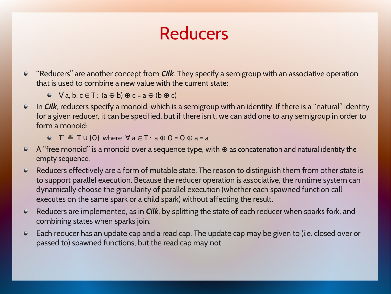#### Reducers

- "Reducers" are another concept from *Cilk*. They specify a semigroup with an associative operation that is used to combine a new value with the current state:
	- $\blacktriangleright$   $\forall$  a, b, c  $\in$  T : (a  $\oplus$  b)  $\oplus$  c = a  $\oplus$  (b  $\oplus$  c)
- In *Cilk*, reducers specify a monoid, which is a semigroup with an identity. If there is a "natural" identity  $\bullet$ for a given reducer, it can be specified, but if there isn't, we can add one to any semigroup in order to form a monoid:
	- $\bullet$  T'  $\stackrel{\text{def}}{=}$  T U {0} where  $\forall a \in T : a \oplus 0 = 0 \oplus a = a$
- A "free monoid" is a monoid over a sequence type, with ⊕ as concatenation and natural identity the empty sequence.
- Reducers effectively are a form of mutable state. The reason to distinguish them from other state is  $\bullet$ to support parallel execution. Because the reducer operation is associative, the runtime system can dynamically choose the granularity of parallel execution (whether each spawned function call executes on the same spark or a child spark) without affecting the result.
- Reducers are implemented, as in *Cilk*, by splitting the state of each reducer when sparks fork, and  $\bullet$ combining states when sparks join.
- Each reducer has an update cap and a read cap. The update cap may be given to (i.e. closed over or  $\bullet$ passed to) spawned functions, but the read cap may not.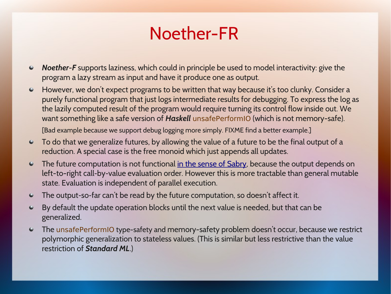#### Noether-FR

- *Noether-F* supports laziness, which could in principle be used to model interactivity: give the  $\bullet$ program a lazy stream as input and have it produce one as output.
- $\bullet$ However, we don't expect programs to be written that way because it's too clunky. Consider a purely functional program that just logs intermediate results for debugging. To express the log as the lazily computed result of the program would require turning its control flow inside out. We want something like a safe version of *Haskell* unsafePerformIO (which is not memory-safe).

[Bad example because we support debug logging more simply. FIXME find a better example.]

- $\bullet$ To do that we generalize futures, by allowing the value of a future to be the final output of a reduction. A special case is the free monoid which just appends all updates.
- $\bullet$ The future computation is not functional in the sense of Sabry, because the output depends on left-to-right call-by-value evaluation order. However this is more tractable than general mutable state. Evaluation is independent of parallel execution.
- The output-so-far can't be read by the future computation, so doesn't affect it.  $\bullet$
- By default the update operation blocks until the next value is needed, but that can be  $\bullet$ generalized.
- The unsafePerformIO type-safety and memory-safety problem doesn't occur, because we restrict  $\bullet$ polymorphic generalization to stateless values. (This is similar but less restrictive than the value restriction of *Standard ML*.)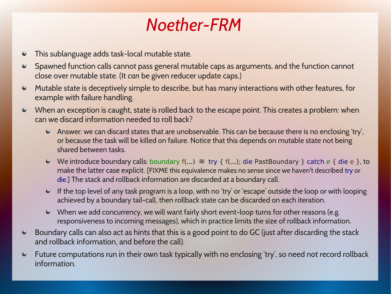#### *Noether-FRM*

- This sublanguage adds task-local mutable state.  $\bullet$
- Spawned function calls cannot pass general mutable caps as arguments, and the function cannot  $\bullet$ close over mutable state. (It *can* be given reducer update caps.)
- Mutable state is deceptively simple to describe, but has many interactions with other features, for  $\bullet$ example with failure handling.
- When an exception is caught, state is rolled back to the escape point. This creates a problem: when  $\bullet$ can we discard information needed to roll back?
	- Answer: we can discard states that are unobservable. This can be because there is no enclosing 'try', or because [the task will be killed](http://www.cs.virginia.edu/~robins/Turing_Paper_1936.pdf) on failure. Notice that this depends on mutable state not being shared between tasks.
	- We introduce boundary calls: boundary  $f(...) \approx try \{ f(...);$  die PastBoundary } catch e { die e }, to make the latter case explicit. [FIXME this equivalence makes no sense since we haven't described try or die.] The stack and rollback information are discarded at a boundary call.
	- If the top level of any task program is a loop, with no 'try' or 'escape' outside the loop or with looping  $\pmb{\Theta}$  . achieved by a boundary tail-call, then rollback state can be discarded on each iteration.
	- When we add concurrency, we will want fairly short event-loop turns for other reasons (e.g. responsiveness to incoming messages), which in practice limits the size of rollback information.
- Boundary calls can also act as hints that this is a good point to do GC (just after discarding the stack  $\bullet$ and rollback information, and before the call).
- Future computations run in their own task typically with no enclosing 'try', so need not record rollback  $\bullet$ information.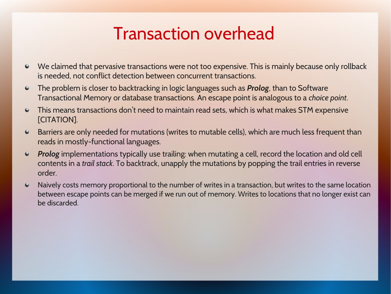#### Transaction overhead

- We claimed that pervasive transactions were not too expensive. This is mainly because only rollback is needed, not conflict detection between concurrent transactions.
- The problem is closer to backtracking in logic languages such as *Prolog*, than to Software  $\bullet$ Transactional Memory or database transactions. An escape point is analogous to a *choice point*.
- $\bullet$ This means transactions don't need to maintain read sets, which is what makes STM expensive [CITATION].
- Barriers are only needed for mutations (writes to mutable cells), which are much less frequent than  $\bullet$ reads in mostly-functional languages.
- *Prolog* implementations typically use trailing: when mutating a cell, record the location and old cell  $\bullet$ contents in a *trail stack*[. To backtrack, unapply the mutations by](http://www.cs.cmu.edu/~rwh/theses/okasaki.pdf) popping the trail entries in reverse order.
- Naively costs memory proportional to the number of writes in a transaction, but writes to the same location  $\bullet$ between escape points can be merged if we run out of memory. Writes to locations that no longer exist can be discarded.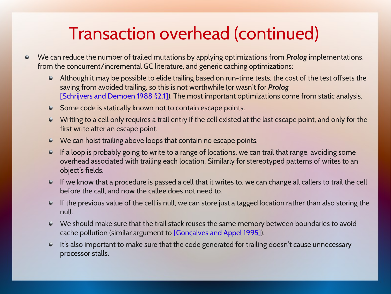## Transaction overhead (continued)

- We can reduce the number of trailed mutations by applying optimizations from *Prolog* implementations, from the concurrent/incremental GC literature, and generic caching optimizations:
	- Although it may be possible to elide trailing based on run-time tests, the cost of the test offsets the saving from avoided trailing, so this is not worthwhile (or wasn't for *Prolog* [Schrijvers and Demoen 1988 §2.1]). The most important optimizations come from static analysis.
	- Some code is statically known not to contain escape points.
	- Writing to a cell only requires a trail entry if the cell existed at the last escape point, and only for the first write after an escape point.
	- We can hoist trailing above loops that contain no escape points.
	- If a loop is probably going to write to a range of locations, we can trail that range, avoiding some overhead associated with trailing each location. Similarly for stereotyped patterns of writes to an object's fields.
	- If we know that a procedure is passed a cell that it writes to, we can change all callers to trail the cell before the call, and now the callee does not need to.
	- $\bullet$  If the previous value of the cell is null, we can store just a tagged location rather than also storing the null.
	- We should make sure that the trail stack reuses the same memory between boundaries to avoid cache pollution (similar argument to [Gonçalves and Appel 1995]).
	- It's also important to make sure that the code generated for trailing doesn't cause unnecessary processor stalls.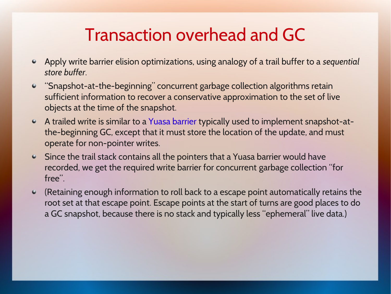#### Transaction overhead and GC

- Apply write barrier elision optimizations, using analogy of a trail buffer to a *sequential*   $\bullet$ *store buffer*.
- "Snapshot-at-the-beginning" concurrent garbage collection algorithms retain  $\bullet$ sufficient information to recover a conservative approximation to the set of live objects at the time of the snapshot.
- A trailed write is similar to a Yuasa barrier typically used to implement snapshot-atthe-beginning GC, except that it must store the location of the update, and must operate for non-pointer writes.
- Since the trail stack contains all the pointers that a Yuasa barrier would have recorded, we get the required write barrier for concurrent garbage collection "for free".
- (Retaining enough information to roll back to a escape point automatically retains the  $\bullet$ root set at that escape point. Escape points at the start of turns are good places to do a GC snapshot, because there is no stack and typically less "ephemeral" live data.)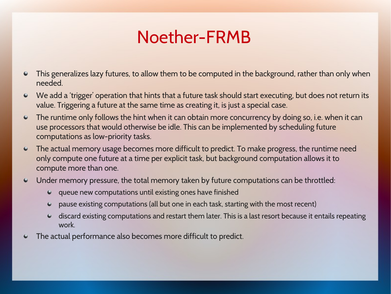#### Noether-FRMB

- This generalizes lazy futures, to allow them to be computed in the background, rather than only when  $\bullet$ needed.
- We add a 'trigger' operation that hints that a future task should start executing, but does not return its  $\bullet$ value. Triggering a future at the same time as creating it, is just a special case.
- The runtime only follows the hint when it can obtain more concurrency by doing so, i.e. when it can  $\bullet$ use processors that would otherwise be idle. This can be implemented by scheduling future computations as low-priority tasks.
- The actual memory usage becomes more difficult to predict. To make progress, the runtime need only compute one future at a time per explicit task, but background computation allows it to compute more than one.
- Under memory pressure, the total memory taken by future computations can be throttled:  $\bullet$ 
	- queue new computations until existing ones have finished
	- pause existing computations (all but one in each task, starting with the most recent)
	- discard existing computations and restart them later. This is a last resort because it entails repeating work.
- The actual performance also becomes more difficult to predict. $\bullet$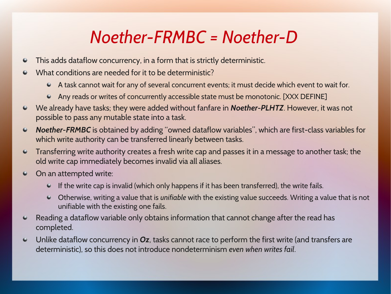#### *Noether-FRMBC = Noether-D*

- This adds dataflow concurrency, in a form that is strictly deterministic.  $\bullet$
- What conditions are needed for it to be deterministic?  $\bullet$ 
	- A task cannot wait for any of several concurrent events; it must decide which event to wait for.
	- Any reads or writes of concurrently accessible state must be monotonic. [XXX DEFINE]
- We already have tasks; they were added without fanfare in *Noether-PLHTZ*. However, it was not  $\bullet$ possible to pass any mutable state into a task.
- *Noether-FRMBC* is obtained by adding "owned dataflow variables", which are first-class variables for  $\bullet$ which write authority can be transferred linearly between tasks.
- Transferring write authority creates a fresh write cap and passes it in a message to another task; the  $\bullet$ old write cap immediately becomes invali[d via all aliases.](http://citeseerx.ist.psu.edu/viewdoc/summary?doi=10.1.1.27.7800)
- On an attempted write:  $\bullet$ 
	- $\bullet$  If the write cap is invalid (which only happens if it has been transferred), the write fails.
	- Otherwise, writing a value that is *unifiable* with the existing value succeeds. Writing a value that is not unifiable with the existing one fails.
- Reading a dataflow variable only obtains information that cannot change after the read has  $\bullet$ completed.
- Unlike dataflow concurrency in *Oz*, tasks cannot race to perform the first write (and transfers are  $\bullet$ deterministic), so this does not introduce nondeterminism *even when writes fail*.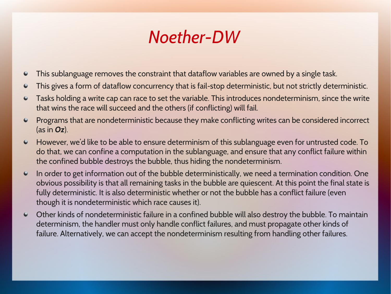#### *Noether-DW*

- This sublanguage removes the constraint that dataflow variables are owned by a single task.  $\bullet$
- This gives a form of dataflow concurrency that is fail-stop deterministic, but not strictly deterministic.  $\bullet$
- Tasks holding a write cap can race to set the variable. This introduces nondeterminism, since the write  $\bullet$ that wins the race will succeed and the others (if conflicting) will fail.
- Programs that are nondeterministic because they make conflicting writes can be considered incorrect  $\bullet$ (as in *Oz*).
- However, we'd like to be able to ensure determinism of this sublanguage even for untrusted code. To  $\bullet$ do that, we can confine a computation in the sublanguage, and ensure that any conflict failure within the confined bubble destroys the bubble, thus hiding the nondeterminism.
- In order to get information out of the bubble deterministically, we need a termination condition. One  $\bullet$ obvious possibility is that all remaining tasks in the bubble are quiescent. At this point the final state is fully deterministic. It is also deterministic whether or not the bubble has a conflict failure (even though it is nondeterministic which race causes it).
- Other kinds of nondeterministic failure in a confined bubble will also destroy the bubble. To maintain  $\bullet$ determinism, the handler must only handle conflict failures, and must propagate other kinds of failure. Alternatively, we can accept the nondeterminism resulting from handling other failures.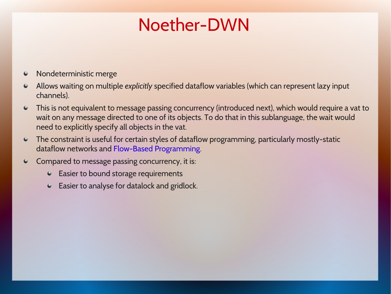#### Noether-DWN

- Nondeterministic merge  $\bullet$
- Allows waiting on multiple *explicitly* specified dataflow variables (which can represent lazy input  $\bullet$ channels).
- This is not equivalent to message passing concurrency (introduced next), which would require a vat to  $\bullet$ wait on any message directed to one of its objects. To do that in this sublanguage, the wait would need to explicitly specify all objects in the vat.
- The constraint is useful for certain styles of dataflow programming, particularly mostly-static dataflow networks and Flow-Based Programming.
- Compared to message passing concurrency, it is:  $\bullet$ 
	- **Easier to bound storage requirements**
	- Easier to analyse for datalock and gridlock.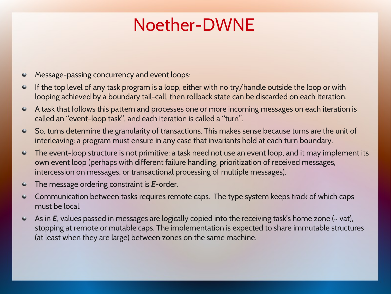#### Noether-DWNE

- Message-passing concurrency and event loops:  $\bullet$
- If the top level of any task program is a loop, either with no try/handle outside the loop or with  $\bullet$ looping [achieved by a boundary tail-call,](https://dl.acm.org/citation.cfm?id=571167) then rollback state can be discarded on each iteration.
- $\bullet$ A task that follows this pattern and processes one or more incoming messages on each iteration is called an "event-loop task", and each iteration is called a "turn".
- So, turns determine the granularity of transactions. This makes sense because turns are the unit of  $\bullet$ interleaving: a program must ensure in any case that invariants hold at each turn boundary.
- The event-loop structure is not primitive; a task need not use an event loop, and it may implement its  $\bullet$ own event loop (perhaps with different failure handling, prioritization of received messages, intercession on messages, or transactional processing of multiple messages).
- The message ordering constraint is *E*-order.  $\bullet$
- Communication between tasks requires remote caps. The type system keeps track of which caps ۰ must be local.
- As in *E*, values passed in messages are logically copied into the receiving task's home zone ( $\sim$  vat),  $\bullet$ stopping at remote or mutable caps. The i[mplementation is expected](http://citeseerx.ist.psu.edu/viewdoc/summary?doi=10.1.1.47.5280) to share immutable structures (at least when they are large) between zones on the same machine.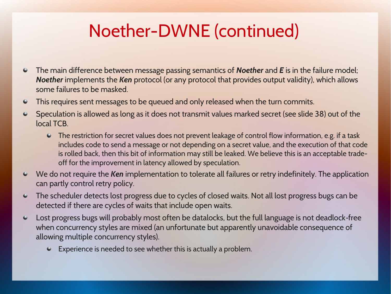## Noether-DWNE (continued)

- The main difference between message passing semantics of *Noether* and *E* is in the failure model;  $\bullet$ *Noether* implements the *Ken* protocol (or any protocol that provides output validity), which allows some failures to be masked.
- This requires sent messages to be queued and only released when the turn commits.  $\bullet$
- Speculation is allowed as long as i[t does not trans](http://researcher.watson.ibm.com/researcher/files/us-bacon/Vechev04Write.pdf)mit values marked secret (see slide 38) out of the  $\bullet$ local TCB.
	- The restriction for secret values does not prevent leakage of control flow information, e.g. if a task includes code to send a message or not depending on a secret value, and the execution of that code is rolled back, then this bit of information may still be leaked. We believe this is an acceptable tradeoff for the improvement in latency allowed by speculation.
- We do not require the *Ken* implementation to tolerate all failures or retry indefinitely. The application  $\bullet$ can partly control retry policy.
- $\bullet$ The scheduler detects lost progress due to cycles of closed waits. Not all lost progress bugs can be detected if there are cycles of waits that include open waits.
- Lost progress bugs will probably most often be datalocks, but the full language is not deadlock-free  $\bullet$ when concurrency styles are mixed (an unfortunate but apparently unavoidable consequence of allowing multiple concurrency styles).
	- Experience is needed to see whether this is actually a problem.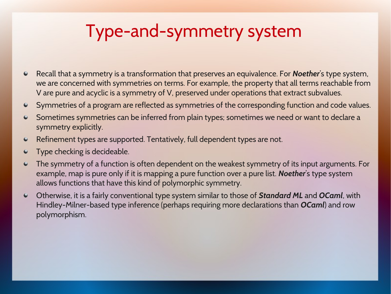#### Type-and-symmetry system

- Recall that a symmetry is a transformation that preserves an equivalence. For *Noether*'s type system, we are concerned with symmetries on terms. For example, the property that all terms reachable from V are pure and acyclic is a symmetry of V, preserved under operations that extract subvalues.
- Symmetries of a program are reflected as symmetries of the corresponding function and code values.
- Sometimes symmetries can be inferred from plain types; sometimes we need or want to declare a  $\bullet$ symmetry explicitly.
- Refinement types are supported. Tentatively, full dependent types are not.  $\bullet$
- Type checking is decideable.  $\bullet$
- The symmetry of a function is often dependent on the weakest symmetry of its input arguments. For  $\bullet$ example, map is pure only if it is mapping a pure function over a pure list. *Noether*'s type system allows functions that have this kind of polymorphic symmetry.
- Otherwise, it is a fairly conventional type system similar to those of *Standard ML* and *OCaml*, with  $\bullet$ Hindley-Milner-based type inference (perhaps requiring more declarations than *OCaml*) and row polymorphism.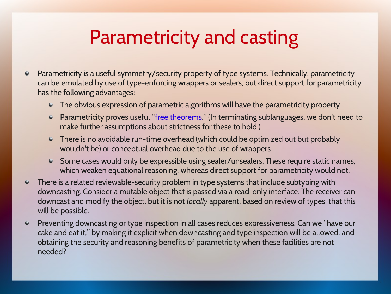## Parametricity and casting

- Parametricity is a useful symmetry/security property of type systems. Technically, parametricity  $\bullet$ can be emulated by use of type-enforcing wrappers or sealers, but direct support for parametricity has the following advantages:
	- The obvious expression of parametric algorithms will have the parametricity property.
	- Parametricity proves useful "free theorems." (In terminating sublanguages, we don't need to make further assumptions about strictness for these to hold.)
	- There is no avoidable run-time overhead (which could be optimized out but probably wouldn't be) or conceptual overhead due to the use of wrappers.
	- Some cases would only be expressible using sealer/unsealers. These require static names, which weaken equational reasoning, whereas direct support for parametricity would not.
- $\bullet$ There is a related reviewable-security problem in type systems that include subtyping with downcasting. Consider a mutable object that is passed via a read-only interface. The receiver can downcast and modify the object, but it is not *locally* apparent, based on review of types, that this will be possible.
- $\bullet$ Preventing downcasting or type inspection in all cases reduces expressiveness. Can we "have our cake and eat it," by making it explicit when downcasting and type inspection will be allowed, and obtaining the security and reasoning benefits of parametricity when these facilities are not needed?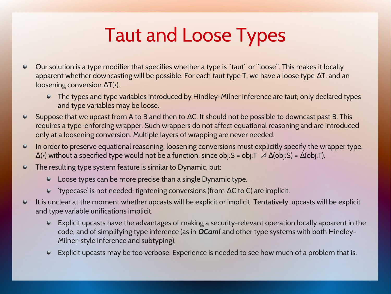# Taut and Loose Types

- Our solution is a type modifier that specifies whether a type is "taut" or "loose". This makes it locally apparent whether downcasting will be possible. For each taut type T, we have a loose type  $\Delta T$ , and an loosening conversion  $\Delta T(\cdot)$ .
	- The types and type variables introduced by Hindley-Milner inference are taut; only declared types and type variables may be loose.
- Suppose that we upcast from A to B and then to  $\Delta C$ . It should not be possible to downcast past B. This  $\bullet$ requires a type-enforcing wrapper. Such wrappers do not affect equational reasoning and are introduced only at a loosening conversion. Multiple layers of wrapping are never needed.
- In order to preserve equational reasoning, loosening conversions must explicitly specify the wrapper type.  $\bullet$  $\Delta$ (•) without a specified type would not be a function, since obj:S = obj:T  $\neq \Delta$ (obj:S) =  $\Delta$ (obj:T).
- $\bullet$ The resulting type system feature is similar to Dynamic, but:
	- Loose types can be more precise than a single Dynamic type.
	- $\bullet$  'typecase' is not needed; tightening conversions (from  $\Delta C$  to C) are implicit.
- It is unclear at the moment whether upcasts will be explicit or implicit. Tentatively, upcasts will be explicit  $\bullet$ and type variable unifications implicit.
	- Explicit upcasts have the advantages of making a security-relevant operation locally apparent in the code, and of simplifying type inference (as in *OCaml* and other type systems with both Hindley-Milner-style inference and subtyping).
	- Explicit upcasts may be too verbose. Experience is needed to see how much of a problem that is.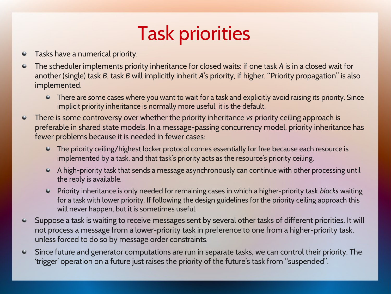# Task priorities

- Tasks have a numerical priority.  $\bullet$
- The scheduler implements priority inheritance for closed waits: if one task *A* is in a closed wait for  $\bullet$ another (single) task *B*, task *B* will implicitly inherit *A*'s priority, if higher. "Priority propagation" is also implemented.
	- There are some cases where you want to wait for a task and explicitly avoid raising its priority. Since implicit priority inheritance is normally more useful, it is the default.
- There is some controversy over whether the priority inheritance *vs* priority ceiling approach is  $\bullet$ preferable in shared state models. In a message-passing concurrency model, priority inheritance has fewer problems because it is needed in fewer cases:
	- The priority ceilin[g/highest locker protocol com](http://www.jpaulmorrison.com/fbp/)es essentially for free because each resource is implemented by a task, and that task's priority acts as the resource's priority ceiling.
	- A high-priority task that sends a message asynchronously can continue with other processing until the reply is available.
	- Priority inheritance is only needed for remaining cases in which a higher-priority task *blocks* waiting for a task with lower priority. If following the design guidelines for the priority ceiling approach this will never happen, but it is sometimes useful.
- Suppose a task is waiting to receive messages sent by several other tasks of different priorities. It will  $\bullet$ not process a message from a lower-priority task in preference to one from a higher-priority task, unless forced to do so by message order constraints.
- Since future and generator computations are run in separate tasks, we can control their priority. The  $\bullet$ 'trigger' operation on a future just raises the priority of the future's task from "suspended".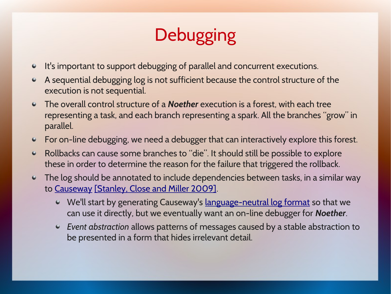# **Debugging**

- It's important to support debugging of parallel and concurrent executions.  $\bullet$
- A sequential debugging log is not sufficient because the control structure of the execution is not sequential.
- The overall control structure of a *Noether* execution is a forest, with each tree representing a task, and each branch representing a spark. All the branches "grow" in parallel.
- For on-line debugging, we need a debugger that can interactively explore this forest.
- Rollbacks can cause some branches to "die". It should still be possible to explore  $\bullet$ these in order to determine the reason for the failure that triggered the rollback.
- The log should be annotated to include dependencies between tasks, in a similar way  $\bullet$ to Causeway [Stanley, Close and Miller 2009].
	- We'll start by generating Causeway's language-neutral log format so that we can use it directly, but we eventually want an on-line debugger for *Noether*.
	- *Event abstraction* allows patterns of messages caused by a stable abstraction to be presented in a form that hides irrelevant detail.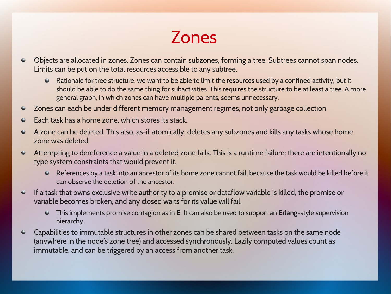#### Zones

- Objects are allocated in zones. Zones can contain subzones, forming a tree. Subtrees cannot span nodes.  $\bullet$ Limits can be put on the total resources accessible to any subtree.
	- Rationale for tree structure: we want to be able to limit the resources used by a confined activity, but it should be able to do the same thing for subactivities. This requires the structure to be at least a tree. A more general graph, in which zones can have multiple parents, seems unnecessary.
- Zones can each be under different memory management regimes, not only garbage collection.  $\bullet$
- Each task has a home zone, which stores its stack.  $\bullet$
- A zone can be deleted. This also, as-if atomically, deletes any subzones and kills any tasks whose home  $\bullet$ zone was deleted.
- Attempting to dereference a value in a deleted zone fails. This is a runtime failure; there are intentionally no  $\bullet$ type system constraints that would prevent it.
	- References by a task into an ancestor of its home zone cannot fail, because the task would be killed before it can observe the deletion of the ancestor.
- If a task that owns exclusive write authority to a promise or dataflow variable is killed, the promise or  $\bullet$ variable becomes broken, and any closed waits for its value will fail.
	- This implements promise contagion as in **E**. It can also be used to support an **Erlang**-style supervision hierarchy.
- Capabilities to immutable structures in other zones can be shared between tasks on the same node  $\bullet$ (anywhere in the node's zone tree) and accessed synchronously. Lazily computed values count as immutable, and can be triggered by an access from another task.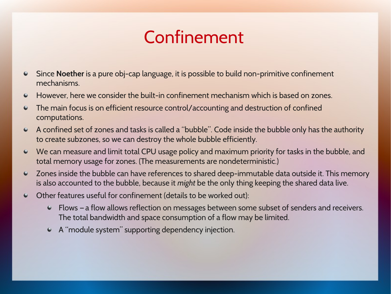#### Confinement

- $\bullet$ Since **Noether** is a pure obj-cap language, it is possible to build non-primitive confinement mechanisms.
- However, here we consider the built-in confinement mechanism which is based on zones.  $\bullet$
- The main focus is on efficient resource control/accounting and destruction of confined  $\bullet$ computations.
- A confined set of zones and tasks is called a "bubble". Code inside the bubble only has the authority  $\bullet$ to create subzones, so we can destroy the whole bubble efficiently.
- We can measure and limit total CPU usage policy and maximum priority for tasks in the bubble, and  $\bullet$ total memory usage for zones. (The measurements are nondeterministic.)
- Zones inside the bubble can have references to shared deep-immutable data outside it. This memory  $\bullet$ is also accounted to the bubble, because it *might* be the only thing keeping the shared data live.
- Other features useful for confinement (details to be worked out):  $\bullet$ 
	- Flows a flow allows reflection on messages between some subset of senders and receivers. The total bandwidth and space consumption of a flow may be limited.
	- A "module system" supporting dependency injection.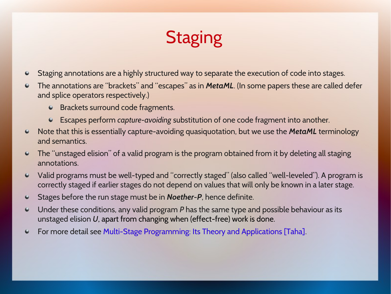## **Staging**

- Staging annotations are a highly structured way to separate the execution of code into stages.
- The annotations are "brackets" and "escapes" as in *MetaML*. (In some papers these are called defer and splice operators respectively.)
	- **Brackets surround code fragments.**
	- Escapes perform *capture-avoiding* [substituti](http://ttic.uchicago.edu/~dreyer/course/papers/wadler.pdf)on of one code fragment into another.
- Note that this is essentially capture-avoiding quasiquotation, but we use the *MetaML* terminology  $\bullet$ and semantics.
- $\bullet$ The "unstaged elision" of a valid program is the program obtained from it by deleting all staging annotations.
- Valid programs must be well-typed and "correctly staged" (also called "well-leveled"). A program is  $\bullet$ correctly staged if earlier stages do not depend on values that will only be known in a later stage.
- Stages before the run stage must be in *Noether-P*, hence definite.
- Under these conditions, any valid program *P* has the same type and possible behaviour as its  $\bullet$ unstaged elision *U*, apart from changing when (effect-free) work is done.
- For more detail see Multi-Stage Programming: Its Theory and Applications [Taha]. $\bullet$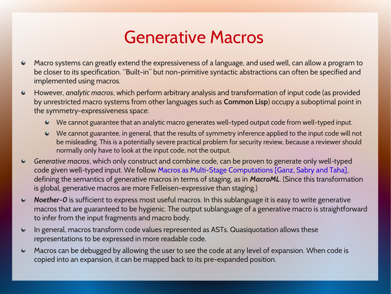#### Generative Macros

- Macro systems can greatly extend the expressiveness of a language, and used well, can allow a program to  $\bullet$ be closer to its specification. "Built-in" but non-primitive syntactic abstractions can often be specified and implemented using macros.
- However, *analytic macros*, which perform arbitrary analysis and transformation of input code (as provided  $\bullet$ by unrestricted macro systems from other languages such as **Common Lisp**) occupy a suboptimal point in the symmetry-expressiveness space:
	- We cannot guarantee that an analytic macro generates well-typed output code from well-typed input.
	- We cannot guarantee, in general, that the results of symmetry inference applied to the input code will not be misleading. This is a potentially severe practical problem for security review, because a reviewer should normally only have to look at the input code, not the output.
- *Generative macros*, which only construct and combine code, can be proven to generate only well-typed  $\bullet$ code given well-typed input. We follow Macros as Multi-Stage Computations [Ganz, Sabry and Taha], defining the semantics of generative macros in terms of staging, as in *MacroML*. (Since this transformation is global, generative macros are more Felleisen-expressive than staging.)
- *Noether-0* is sufficient to express most useful macros. In this sublanguage it is easy to write generative  $\bullet$ macros that are guaranteed to be hygienic. The output sublanguage of a generative macro is straightforward to infer from the input fragments and macro body.
- In general, macros transform code values represented as ASTs. Quasiquotation allows these ۰ representations to be expressed in more readable code.
- Macros can be debugged by allowing the user to see the code at any level of expansion. When code is  $\bullet$ copied into an expansion, it can be mapped back to its pre-expanded position.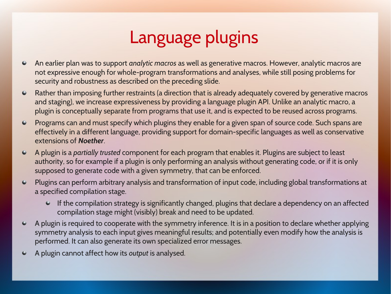## Language plugins

- An earlier plan was to support *analytic macros* as well as generative macros. However, analytic macros are  $\bullet$ not expressive enough for whole-program transformations and analyses, while still posing problems for security and robustness as described on the preceding slide.
- Rather than imposing further restraints (a direction that is already adequately covered by generative macros  $\bullet$ and staging), we increase expressiveness by providing a language plugin API. Unlike an analytic macro, a plugin is conceptually separate from programs that use it, and is expected to be reused across programs.
- $\bullet$ Programs can and must specify which plugins they enable for a given span of source code. Such spans are effectively in a different language, providing support for domain-specific languages as well as conservative extensions of *Noether*.
- $\bullet$ A plugin is a *partially trusted* component for each program that enables it. Plugins are subject to least authority, so for example if a plugin is only performing an analysis without generating code, or if it is only supposed to generate code with a given symmetry, that can be enforced.
- Plugins can perform arbitrary analysis and transformation of input code, including global transformations at  $\bullet$ a specified compilation stage.
	- $\bullet$  If the compilation strategy is significantly changed, plugins that declare a dependency on an affected compilation stage might (visibly) break and need to be updated.
- A plugin is required to cooperate with the symmetry inference. It is in a position to declare whether applying  $\bullet$ symmetry analysis to each input gives meaningful results; and potentially even modify how the analysis is performed. It can also generate its own specialized error messages.
- A plugin cannot affect how its *output* is analysed. $\bullet$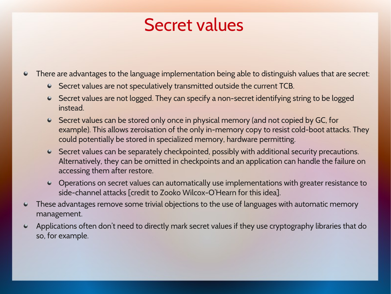#### Secret values

There are advantages to the language implementation being able to distinguish values that are secret:

- Secret values are not speculatively transmitted outside the current TCB.
- Secret values are not logged. They can specify a non-secret identifying string to be logged instead.
- Secret values can be stored only once in physical memory (and not copied by GC, for example). This allows zeroisation of the only in-memory copy to resist cold-boot attacks. They could potentially be stored in specialized memory, hardware permitting.
- Secret values can be separately checkpointed, possibly with additional security precautions. Alternatively, they can be omitted in checkpoints and an application can handle the failure on accessing them after restore.
- Operations on secret values can automatically use implementations with greater resistance to [side-chan](http://www.erights.org/elang/tools/causeway/)[nel attacks \[credit to Zooko Wilcox-O'H](https://www.hpl.hp.com/techreports/2009/HPL-2009-78.html)earn for this idea].
- These advantages remove some trivial objections t[o the use of languages with autom](http://wiki.erights.org/wiki/Causeway_Platform_Developer)atic memory  $\bullet$ management.
- $\bullet$ Applications often don't need to directly mark secret values if they use cryptography libraries that do so, for example.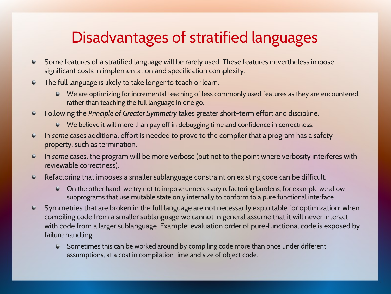#### Disadvantages of stratified languages

- Some features of a stratified language will be rarely used. These features nevertheless impose  $\bullet$ significant costs in implementation and specification complexity.
- The full language is likely to take longer to teach or learn.
	- We are optimizing for incremental teaching of less commonly used features as they are encountered, rather than teaching the full language in one go.
- Following the *Principle of Greater Symmetry* takes greater short-term effort and discipline.  $\bullet$ 
	- We believe it will more than pay off in debugging time and confidence in correctness.
- In *some* cases additional effort is needed to prove to the compiler that a program has a safety  $\bullet$ property, such as termination.
- In *some* cases, the program will be more verbose (but not to the point where verbosity interferes with  $\bullet$ reviewable correctness).
- Refactoring that imposes a smaller sublanguage constraint on existing code can be difficult.  $\bullet$ 
	- On the other hand, we try not to impose unnecessary refactoring burdens, for example we allow subprograms that use mutable state only internally to conform to a pure functional interface.
- $\bullet$ Symmetries that are broken in the full language are not necessarily exploitable for optimization: when compiling code from a smaller sublanguage we cannot in general assume that it will never interact with code from a larger sublanguage. Example: evaluation order of pure-functional code is exposed by failure handling.
	- Sometimes this can be worked around by compiling code more than once under different assumptions, at a cost in compilation time and size of object code.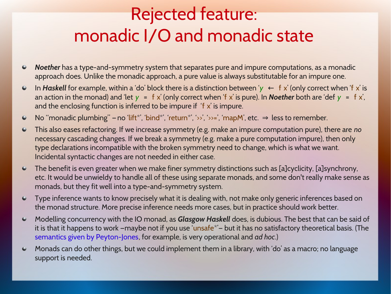## Rejected feature: monadic I/O and monadic state

- *Noether* has a type-and-symmetry system that separates pure and impure computations, as a monadic  $\bullet$ approach does. Unlike the monadic approach, a pure value is always substitutable for an impure one.
- In *Haskell* for example, within a 'do' block there is a distinction between ' $y \leftarrow f x'$  (only correct when 'f x' is  $\bullet$ an action in the monad) and 'let  $y = f x'$  (only correct when 'f x' is pure). In **Noether** both are 'def  $y = f x'$ , and the enclosing function is inferred to be impure if 'f x' is impure.
- No "monadic plumbing" no 'lift\*', 'bind\*', 'return\*', '>>', '>>=', 'mapM', etc.  $\Rightarrow$  less to remember.  $\bullet$
- This also eases refactoring. If we increase symmetry (e.g. make an impure computation pure), there are *no*  $\bullet$ necessary cascading changes. If we break a symmetry (e.g. make a pure computation impure), then only type declarations incompatible with the broken symmetry need to change, which is what we want. Incidental syntactic changes are not needed in either case.
- The benefit is even greater when we make finer symmetry distinctions such as [a]cyclicity, [a]synchrony,  $\bullet$ etc. It would be unwieldy to handle all of these using separate monads, and some don't really make sense as monads, but they fit well into a type-and-symmetry system.
- Type inference wants to know precisely what it is dealing with, not make only generic inferences based on  $\bullet$ the monad structure. More precise inference needs more cases, but in practice should work better.
- Modelling concurrency with the IO monad, as *Glasgow Haskell* does, is dubious. The best that can be said of  $\bullet$ it is that it happens to work —maybe not if you use 'unsafe\*'— but it has no satisfactory theoretical basis. (The semantics given by Peyton-Jones, for example, is very operational and *ad hoc*.)
- Monads can do other things, but we could implement them in a library, with 'do' as a macro; no language  $\bullet$ support is needed.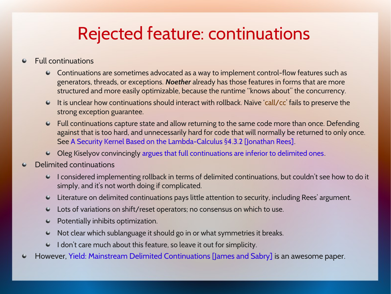#### Rejected feature: continuations

#### Full continuations  $\bullet$

- Continuations are sometimes advocated as a way to implement control-flow features such as  $\bullet$ generators, threads, or exceptions. *Noether* already has those features in forms that are more structured and more easily optimizable, because the runtime "knows about" the concurrency.
- It is unclear how continuations should interact with rollback. Naïve 'call/cc' fails to preserve the strong exception guarantee.
- $\bullet$ Full continuations capture state and allow returning to the same code more than once. Defending against that is too hard, and unnecessarily hard for code that will normally be returned to only once. See A Security Kernel Based on the Lambda-Calculus §4.3.2 [Jonathan Rees].
- Oleg Kiselyov convincingly argues that full continuations are inferior to delimited ones.
- Delimited continuations  $\bullet$ 
	- I considered implementing rollback in terms of delimited continuations, but couldn't see how to do it simply, and it's not worth doing if complicated.
	- Literature on delimited continuations pays little attention to security, including Rees' argument.
	- Lots of variations on shift/reset operators; no consensus on which to use.
	- Potentially inhibits optimization.  $\bullet$
	- Not clear whic[h sublanguage it should go in or what symmetries it breaks.](http://www.cs.rice.edu/~taha/publications/thesis/thesis.pdf)  $\bullet$
	- I don't care much about this feature, so leave it out for simplicity.
- However, Yield: Mainstream Delimited Continuations [James and Sabry] is an awesome paper.٠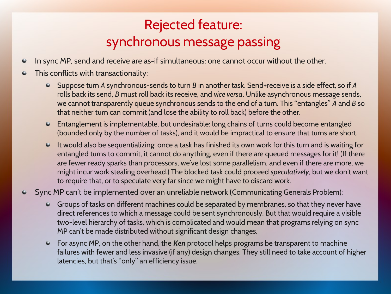#### Rejected feature: synchronous message passing

- In sync MP, send and receive are as-if simultaneous: one cannot occur without the other.  $\bullet$
- This conflicts with transactionality:  $\bullet$ 
	- Suppose turn *A* synchronous-sends to turn *B* in another task. Send+receive is a side effect, so if *A* rolls back its send, *B* must roll back its receive, and *vice versa*. Unlike asynchronous message sends, we cannot transparently queue synchronous sends to the end of a turn. This "entangles" *A* and *B* so that neither turn can commit (and lose the ability to roll back) before the other.
	- Entanglement is implementable, but undesirable: long chains of turns could become entangled (bounded only by the number of tasks), and it would be impractical to ensure that turns are short.
	- $\bullet$  It would also be sequentializing: once a task has finished its own work for this turn and is waiting for entangled turns to commit, it cannot do anything, even if there are queued messages for it! (If there are fewer ready sparks than processors, we've lost some parallelism, and even if there are more, we might incur work stealing overh[ead.\) The blocked task could proceed](http://www.cs.rice.edu/~taha/publications/preprints/icfp01-pre.pdf) *speculatively*, but we don't want to require that, or to speculate very far since we might have to discard work.
- $\bullet$ Sync MP can't be implemented over an unreliable network (Communicating Generals Problem):
	- Groups of tasks on different machines could be separated by membranes, so that they never have direct references to which a message could be sent synchronously. But that would require a visible two-level hierarchy of tasks, which is complicated and would mean that programs relying on sync MP can't be made distributed without significant design changes.
	- For async MP, on the other hand, the *Ken* protocol helps programs be transparent to machine failures with fewer and less invasive (if any) design changes. They still need to take account of higher latencies, but that's "only" an efficiency issue.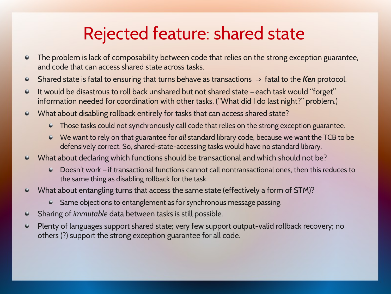## Rejected feature: shared state

- The problem is lack of composability between code that relies on the strong exception guarantee,  $\bullet$ and code that can access shared state across tasks.
- $\bullet$ Shared state is fatal to ensuring that turns behave as transactions ⇒ fatal to the *Ken* protocol.
- It would be disastrous to roll back unshared but not shared state each task would "forget"  $\bullet$ information needed for coordination with other tasks. ("What did I do last night?" problem.)
- What about disabling rollback entirely for tasks that can access shared state?  $\bullet$ 
	- Those tasks could not synchronously call code that relies on the strong exception guarantee.
	- We want to rely on that guarantee for *all* standard library code, because we want the TCB to be defensively correct. So, shared-state-accessing tasks would have no standard library.
- What about declaring which functions should be transactional and which should not be?
	- Doesn't work if transactional functions cannot call nontransactional ones, then this reduces to the same thing as disabling rollback for the task.
- What about entangling turns that access the same state (effectively a form of STM)?  $\bullet$ 
	- Same objections to entanglement as for synchronous message passing.
- Sharing of *immutable* data between tasks is still possible.  $\bullet$
- Plenty of languages support shared state; very few support output-valid rollback recovery; no  $\bullet$ others (?) support the strong exception guarantee for all code.